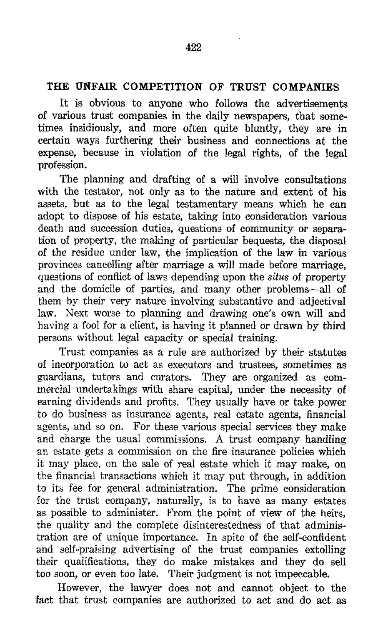## THE UNFAIR COMPETITION OF TRUST COMPANIES

It is obvious to anyone who follows the advertisements of various trust companies in the daily newspapers, that sometimes insidiously, and more often quite bluntly, they are in certain ways furthering their business and connections at the expense, because in violation of the legal rights, of the legal profession.

The planning and drafting of a will involve consultations with the testator, not only as to the nature and extent of his assets, but as to the legal testamentary means which he can adopt to dispose of his estate, taking into consideration various death and succession duties, questions of community or separation of property, the making of particular bequests, the disposal of the residue under law, the implication of the law in various provinces cancelling after marriage a will made before marriage, questions of conflict of laws depending upon the *situs* of property and the domicile of parties, and many other problems-all of them by their very nature involving substantive and adjectival law. Next worse to planning and drawing one's own will and having a fool for a client, is having it planned or drawn by third persons without legal capacity or special training.

Trust companies as a rule are authorized by their statutes of incorporation to act as executors and trustees, sometimes as guardians, tutors and curators. They are organized as com mercial undertakings with share capital, under the necessity of earning dividends and profits. They usually have or take power to do business as insurance agents, real estate agents, financial agents, and so on. For these various special services they make and charge the usual commissions. A trust company handling an estate gets a commission on the fire insurance policies which it may place, on the sale of real estate which it may make, on the financial transactions which it may put through, in addition to its fee for general administration. The prime consideration for the trust company, naturally, is to have as many estates as possible to administer. From the point of view of the heirs, the quality and the complete disinterestedness of that administration are of unique importance . In spite of the self-confident and self-praising advertising of the trust companies extolling their qualifications, they do make mistakes and they do sell too soon, or even too late. Their judgment is not impeccable.

However, the lawyer does not and cannot object to the fact that trust companies are authorized to act and do act as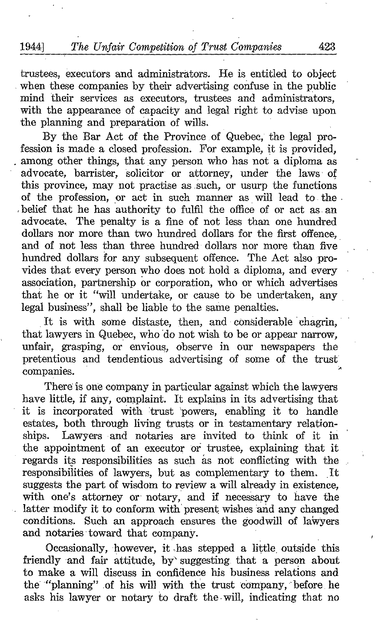trustees, executors and administrators. He is entitled to object when these companies by their advertising confuse in the public mind their services as executors, trustees and administrators, with the appearance of capacity and legal right to advise upon the planning and preparation of wills.

By the Par Act of the Province of Quebec, the legal profession is made a closed profession . For example, it is provided, among other things, that any person who has not a diploma as advocate, barrister, solicitor or attorney, under the laws of this province, may not practise as such, or usurp the functions of the profession, or act in such manner as will lead to the belief that he has authority to fulfil the office of or act as an advocate, The penalty is a fine of not less than one hundred dollars nor more than two hundred dollars for the first offence, and of not less than three hundred dollars nor more than five hundred dollars for any subsequent offence. The Act also provides that every person who does not hold a diploma, and every association, partnership or corporation, who or which advertises that he or it "will undertake, or cause to be undertaken, any legal business", shall be liable to the same penalties.

It is with some distaste, then, and considerable chagrin, that lawyers in Quebec, who'do not wish to be or appear narrow, unfair, grasping, or envious, observe in our newspapers the pretentious and tendentious advertising of some of the trust companies.

There is one company in particular against which the lawyers have little, if any, complaint. It explains in its advertising that it is incorporated with trust 'powers, enabling it to handle estates, both through living trusts or in testamentary relationships. Lawyers and notaries are invited to think of it in the appointment of an executor or trustee, explaining that it regards its responsibilities as such as not conflicting with the responsibilities of lawyers, but as complementary to them. It suggests the part of wisdom to review a will already in existence, with one's attorney or notary, and if necessary to have the latter modify it to conform with present wishes and any changed conditions. Such an approach ensures the goodwill of lawyers and notaries toward that company.

Occasionally, however, it has stepped a little, outside this friendly and fair attitude, by' suggesting. that a person about to make a will discuss in confidence his business relations and the "planning" of his will with the trust company, before he asks his lawyer or notary to draft the-will, indicating that no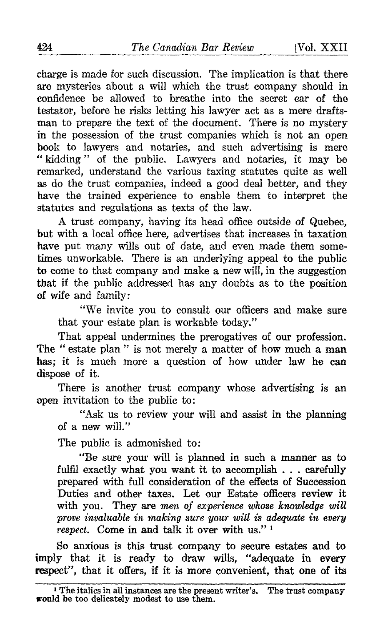charge is made for such discussion. The implication is that there are mysteries about a will which the trust company should in confidence be allowed to breathe into the secret ear of the testator, before he risks letting his lawyer act as a mere draftsman to prepare the text of the document. There is no mystery in the possession of the trust companies which is not an open book to lawyers and notaries, and such advertising is mere " kidding" of the public. Lawyers and notaries, it may be remarked, understand the various taxing statutes quite as well as do the trust companies, indeed a good deal better, and they have the trained experience to enable them to interpret the statutes and regulations as texts of the law.

A trust company, having its head office outside of Quebec, but with a local office here, advertises that increases in taxation have put many wills out of date, and even made them some times unworkable. There is an underlying appeal to the public to come to that company and make a newwill, in the suggestion that if the public addressed has any doubts as to the position of wife and family :

"We invite you to consult our officers and make sure that your estate plan is workable today."

That appeal undermines the prerogatives of our profession. The " estate plan " is not merely a matter of how much a man has; it is much more a question of how under law he can dispose of it.

There is another trust company whose advertising is an open invitation to the public to :

"Ask us to review your will and assist in the planning of a new will."

The public is admonished to:

"Be sure your will is planned in such a manner as to fulfil exactly what you want it to accomplish . . . carefully prepared with full consideration of the effects of Succession Duties and other taxes. Let our Estate officers review it with you. They are men of experience whose knowledge will prove invaluable in making sure your will is adequate in every respect. Come in and talk it over with us." '

So anxious is this trust company to secure estates and to imply that it is ready to draw wills, "adequate in every respect", that it offers, if it is more convenient, that one of its

<sup>&</sup>lt;sup>1</sup> The italics in all instances are the present writer's. The trust company **would** be too delicately modest to use them.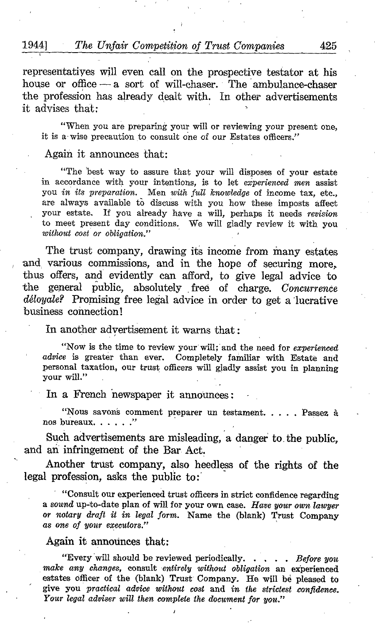representatives will even call on the prospective testator at his house or office - a sort of will-chaser. The ambulance-chaser the profession has already dealt with. In other advertisements it advises that:

"When you are preparing your will or reviewing your present one, it is a wise precaution to consult one of our Estates officers."

## Again it announces that:

"The best way to assure that your will disposes of your estate in accordance with your intentions, is to let experienced men assist you in its preparation. Men with full knowledge of income tax, etc., are always available tô discuss with you how these imposts affect your estate. If you already have a will, perhaps it needs revision to meet present day conditions. We will gladly review it with you without cost or obligation."

The trust company, drawing its income from many estates and, various commissions, and in the hope of securing more, thus offers, and evidently can afford, to give legal advice to the general public, absolutely free of charge. Concurrence déloyale? Promising free legal advice in order to get a 'lucrative business connection!

In another advertisement it warns that

"Now is the time to review your will; and the need for experienced advice is greater than ever. Completely familiar with Estate and personal taxation, our trust officers will gladly assist you in planning vour will."

In a French newspaper it announces :

"Nous savons comment preparer un testament. . . . . Passez à nos bureaux. . . . . . "

Such advertisements are misleading, a danger to. the public, and an infringement of the Bar Act.

Another trust company, also heedless of the rights of the legal profession, asks the public to:

"Consult our experienced trust officers in strict confidence regarding <sup>a</sup> sound up-to-date plan of will for your own case. Have your own lawyer or notary draft it in legal form. Name the (blank) Trust Company as one of your executors."

## Again it announces that:

"Every will should be reviewed periodically. . . . . Before you make any changes, consult entirely without obligation an experienced estates officer of the (blank) Trust Company. He will bé pleased to give you practical advice without cost and in the strictest confidence. Your legal adviser will then complete the document for you."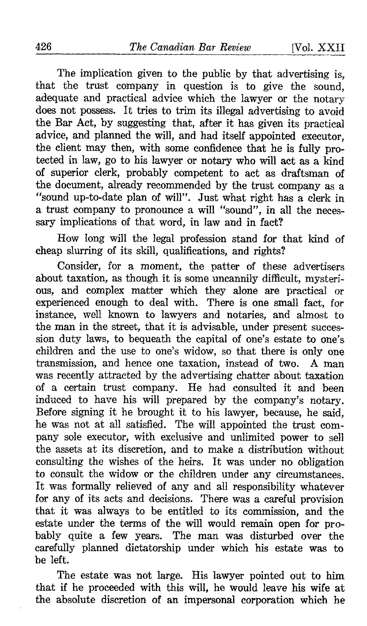The implication given to the public by that advertising is, that the trust company in question is to give the sound, adequate and practical advice which the lawyer or the notary does not possess. It tries to trim its illegal advertising to avoid the Bar Act, by suggesting that, after it has given its practical advice, and planned the will, and had itself appointed executor, the client may then, with some confidence that he is fully protected in law, go to his lawyer or notary who will act as a kind of superior clerk, probably competent to act as draftsman of the document, already recommended by the trust company as a "sound up-to-date plan of will". Just what right has a clerk in a trust company to pronounce a will "sound", in all the necessary implications of that word, in law and in fact?

How long will the legal profession stand for that kind of cheap slurring of its skill, qualifications, and rights?

Consider, for a moment, the patter of these advertisers about taxation, as though it is some uncannily difficult, mysterious, and complex matter which they alone are practical or experienced enough to deal with. There is one small fact, for instance, well known to lawyers and notaries, and almost to the man in the street, that it is advisable, under present succession duty laws, to bequeath the capital of one's estate to one's children and the use to one's widow, so that there is only one transmission, and hence one taxation, instead of two. A man transmission, and hence one taxation, instead of two. was recently attracted by the advertising chatter about taxation of a certain trust company. He had consulted it and been induced to have his will prepared by the company's notary . Before signing it he brought it to his lawyer, because, he said, he was not at all satisfied. The will appointed the trust company sole executor, with exclusive and unlimited power to sell the assets at its discretion, and to make a distribution without consulting the wishes of the heirs. It was under no obligation to consult the widow or the children under any circumstances. It was formally relieved of any and all responsibility whatever for any of its acts and decisions. There was a careful provision that it was always to be entitled to its commission, and the estate under the terms of the will would remain open for probably quite a few years. The man was disturbed over the carefully planned dictatorship under which his estate was to be left.

The estate was not large. His lawyer pointed out to him that if he proceeded with this will, he would leave his wife at the absolute discretion of an impersonal corporation which he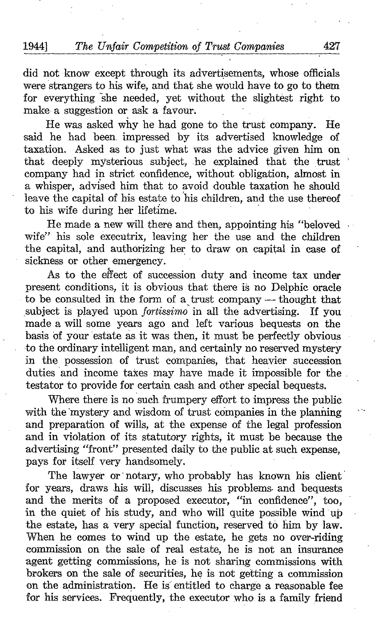did not know except through its advertisements, whose officials were strangers to his wife, and that she would have to go to them for everything she needed, yet without the slightest right to make a suggestion or ask a favour:

He was asked why he had gone to the trust company. He said he had been. impressed by its advertised knowledge of taxation. Asked as to just what was the advice given him on that deeply mysterious subject, .he explained that the trust company had in strict confidence, without obligation, almost in a whisper, advised him that to avoid double taxation he should leave the capital of his estate to his children, and the use thereof to his wife during her lifetime.

He made a new will there and then, appointing his "beloved wife" his sole executrix, leaving her the use and the children the capital, and authorizing her to draw on capital in case of sickness or other emergency.

As to the effect of succession duty and income tax under present conditions, it is obvious that there is no Delphic oracle to be consulted in the form of a trust company — thought that subject is played upon *fortissimo* in all the advertising. If you subject is played upon *fortissimo* in all the advertising. made a will some years ago and left various bequests on the basis of your estate as. it was then, it must be perfectly obvious to the ordinary intelligent man, and certainly no reserved mystery in the possession of trust companies, that heavier succession duties and income takes may have made it impossible for the . testator to provide for certain cash and other special bequests .

Where there is no such frumpery effort to impress the public with the mystery and wisdom of trust companies in the planning and preparation of wills, at the expense of the legal profession and in violation of its statutory rights, it must be because the advertising "front" presented daily to the public at such expense, pays for itself very handsomely.

The lawyer or' notary, who probably has known his client for years, draws his will, discusses his problems. and bequests and the merits of a proposed executor, "in confidence", too, in the quiet of his study, and who will quite possible wind up the estate, has a very special function, reserved to him by law. When he comes to wind up the estate, he gets no over-riding commission on the sale of real estate, he is not an insurance agent getting commissions, he is not sharing commissions with brokers on the sale of securities, he is not getting a commission on the administration. He is entitled to charge a reasonable fee for his services. Frequently, the executor who is a family friend